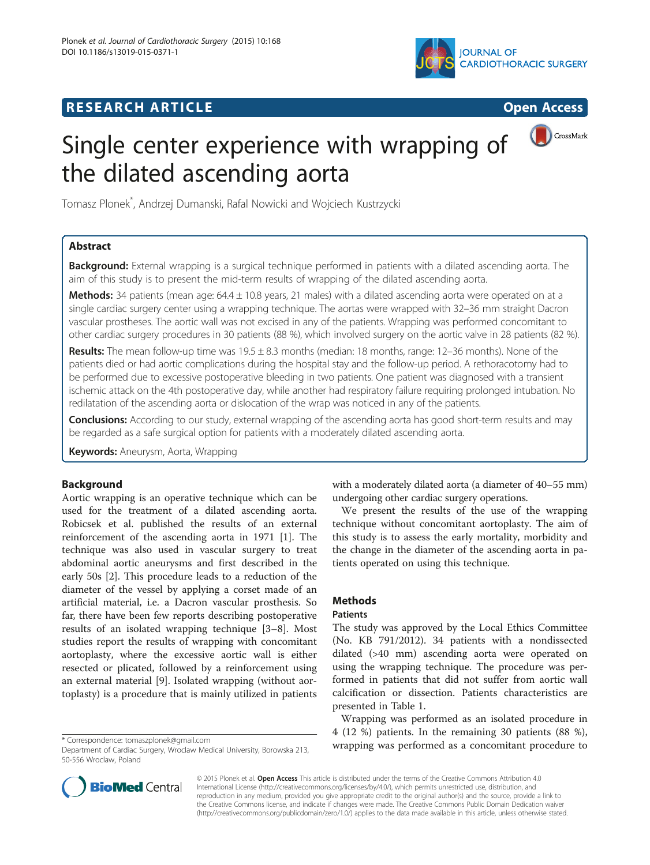# **RESEARCH ARTICLE CONSUMING A RESEARCH ARTICLE**





# Single center experience with wrapping of the dilated ascending aorta

Tomasz Plonek\* , Andrzej Dumanski, Rafal Nowicki and Wojciech Kustrzycki

# Abstract

Background: External wrapping is a surgical technique performed in patients with a dilated ascending aorta. The aim of this study is to present the mid-term results of wrapping of the dilated ascending aorta.

Methods: 34 patients (mean age: 64.4 ± 10.8 years, 21 males) with a dilated ascending aorta were operated on at a single cardiac surgery center using a wrapping technique. The aortas were wrapped with 32–36 mm straight Dacron vascular prostheses. The aortic wall was not excised in any of the patients. Wrapping was performed concomitant to other cardiac surgery procedures in 30 patients (88 %), which involved surgery on the aortic valve in 28 patients (82 %).

Results: The mean follow-up time was 19.5 ± 8.3 months (median: 18 months, range: 12–36 months). None of the patients died or had aortic complications during the hospital stay and the follow-up period. A rethoracotomy had to be performed due to excessive postoperative bleeding in two patients. One patient was diagnosed with a transient ischemic attack on the 4th postoperative day, while another had respiratory failure requiring prolonged intubation. No redilatation of the ascending aorta or dislocation of the wrap was noticed in any of the patients.

**Conclusions:** According to our study, external wrapping of the ascending aorta has good short-term results and may be regarded as a safe surgical option for patients with a moderately dilated ascending aorta.

Keywords: Aneurysm, Aorta, Wrapping

# Background

Aortic wrapping is an operative technique which can be used for the treatment of a dilated ascending aorta. Robicsek et al. published the results of an external reinforcement of the ascending aorta in 1971 [[1](#page-3-0)]. The technique was also used in vascular surgery to treat abdominal aortic aneurysms and first described in the early 50s [[2\]](#page-3-0). This procedure leads to a reduction of the diameter of the vessel by applying a corset made of an artificial material, i.e. a Dacron vascular prosthesis. So far, there have been few reports describing postoperative results of an isolated wrapping technique [\[3](#page-3-0)–[8](#page-3-0)]. Most studies report the results of wrapping with concomitant aortoplasty, where the excessive aortic wall is either resected or plicated, followed by a reinforcement using an external material [[9\]](#page-3-0). Isolated wrapping (without aortoplasty) is a procedure that is mainly utilized in patients

with a moderately dilated aorta (a diameter of 40–55 mm) undergoing other cardiac surgery operations.

We present the results of the use of the wrapping technique without concomitant aortoplasty. The aim of this study is to assess the early mortality, morbidity and the change in the diameter of the ascending aorta in patients operated on using this technique.

# **Methods**

# Patients

The study was approved by the Local Ethics Committee (No. KB 791/2012). 34 patients with a nondissected dilated (>40 mm) ascending aorta were operated on using the wrapping technique. The procedure was performed in patients that did not suffer from aortic wall calcification or dissection. Patients characteristics are presented in Table [1](#page-1-0).

Wrapping was performed as an isolated procedure in 4 (12 %) patients. In the remaining 30 patients (88 %), \* Correspondence: [tomaszplonek@gmail.com](mailto:tomaszplonek@gmail.com)<br>Department of Cardiac Surgery Wroclaw Medical University Borowska 213 **wrapping was performed as a concomitant procedure to** 



© 2015 Plonek et al. Open Access This article is distributed under the terms of the Creative Commons Attribution 4.0 International License [\(http://creativecommons.org/licenses/by/4.0/](http://creativecommons.org/licenses/by/4.0/)), which permits unrestricted use, distribution, and reproduction in any medium, provided you give appropriate credit to the original author(s) and the source, provide a link to the Creative Commons license, and indicate if changes were made. The Creative Commons Public Domain Dedication waiver [\(http://creativecommons.org/publicdomain/zero/1.0/](http://creativecommons.org/publicdomain/zero/1.0/)) applies to the data made available in this article, unless otherwise stated.

Department of Cardiac Surgery, Wroclaw Medical University, Borowska 213, 50-556 Wroclaw, Poland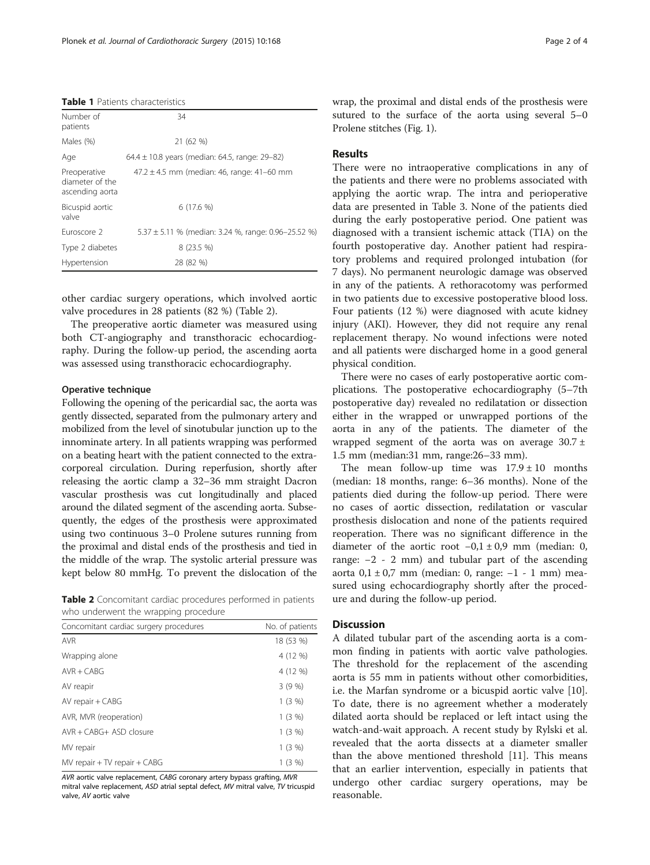#### <span id="page-1-0"></span>Table 1 Patients characteristics

| Number of<br>patients                              | 34                                                      |
|----------------------------------------------------|---------------------------------------------------------|
| Males (%)                                          | 21 (62 %)                                               |
| Age                                                | 64.4 $\pm$ 10.8 years (median: 64.5, range: 29–82)      |
| Preoperative<br>diameter of the<br>ascending aorta | $47.2 \pm 4.5$ mm (median: 46, range: 41-60 mm          |
| Bicuspid aortic<br>valve                           | 6(17.6%)                                                |
| Furoscore 2                                        | $5.37 \pm 5.11$ % (median: 3.24 %, range: 0.96-25.52 %) |
| Type 2 diabetes                                    | $8(23.5\%)$                                             |
| Hypertension                                       | 28 (82 %)                                               |

other cardiac surgery operations, which involved aortic valve procedures in 28 patients (82 %) (Table 2).

The preoperative aortic diameter was measured using both CT-angiography and transthoracic echocardiography. During the follow-up period, the ascending aorta was assessed using transthoracic echocardiography.

#### Operative technique

Following the opening of the pericardial sac, the aorta was gently dissected, separated from the pulmonary artery and mobilized from the level of sinotubular junction up to the innominate artery. In all patients wrapping was performed on a beating heart with the patient connected to the extracorporeal circulation. During reperfusion, shortly after releasing the aortic clamp a 32–36 mm straight Dacron vascular prosthesis was cut longitudinally and placed around the dilated segment of the ascending aorta. Subsequently, the edges of the prosthesis were approximated using two continuous 3–0 Prolene sutures running from the proximal and distal ends of the prosthesis and tied in the middle of the wrap. The systolic arterial pressure was kept below 80 mmHg. To prevent the dislocation of the

Table 2 Concomitant cardiac procedures performed in patients who underwent the wrapping procedure

| Concomitant cardiac surgery procedures | No. of patients |
|----------------------------------------|-----------------|
| <b>AVR</b>                             | 18 (53 %)       |
| Wrapping alone                         | 4 (12 %)        |
| $AVR + CABG$                           | 4 (12 %)        |
| AV reapir                              | 3(9%)           |
| AV repair + CABG                       | 1(3%)           |
| AVR, MVR (reoperation)                 | 1(3%)           |
| $AVR + CABG + ASD closure$             | 1(3%)           |
| MV repair                              | 1(3%)           |
| $MV$ repair $+ TV$ repair $+ CABG$     | 1(3%)           |

AVR aortic valve replacement, CABG coronary artery bypass grafting, MVR mitral valve replacement, ASD atrial septal defect, MV mitral valve, TV tricuspid valve, AV aortic valve

wrap, the proximal and distal ends of the prosthesis were sutured to the surface of the aorta using several 5–0 Prolene stitches (Fig. [1](#page-2-0)).

# Results

There were no intraoperative complications in any of the patients and there were no problems associated with applying the aortic wrap. The intra and perioperative data are presented in Table [3](#page-2-0). None of the patients died during the early postoperative period. One patient was diagnosed with a transient ischemic attack (TIA) on the fourth postoperative day. Another patient had respiratory problems and required prolonged intubation (for 7 days). No permanent neurologic damage was observed in any of the patients. A rethoracotomy was performed in two patients due to excessive postoperative blood loss. Four patients (12 %) were diagnosed with acute kidney injury (AKI). However, they did not require any renal replacement therapy. No wound infections were noted and all patients were discharged home in a good general physical condition.

There were no cases of early postoperative aortic complications. The postoperative echocardiography (5–7th postoperative day) revealed no redilatation or dissection either in the wrapped or unwrapped portions of the aorta in any of the patients. The diameter of the wrapped segment of the aorta was on average  $30.7 \pm$ 1.5 mm (median:31 mm, range:26–33 mm).

The mean follow-up time was  $17.9 \pm 10$  months (median: 18 months, range: 6–36 months). None of the patients died during the follow-up period. There were no cases of aortic dissection, redilatation or vascular prosthesis dislocation and none of the patients required reoperation. There was no significant difference in the diameter of the aortic root  $-0.1 \pm 0.9$  mm (median: 0, range: −2 - 2 mm) and tubular part of the ascending aorta 0,1 ± 0,7 mm (median: 0, range: −1 - 1 mm) measured using echocardiography shortly after the procedure and during the follow-up period.

#### **Discussion**

A dilated tubular part of the ascending aorta is a common finding in patients with aortic valve pathologies. The threshold for the replacement of the ascending aorta is 55 mm in patients without other comorbidities, i.e. the Marfan syndrome or a bicuspid aortic valve [\[10](#page-3-0)]. To date, there is no agreement whether a moderately dilated aorta should be replaced or left intact using the watch-and-wait approach. A recent study by Rylski et al. revealed that the aorta dissects at a diameter smaller than the above mentioned threshold [\[11](#page-3-0)]. This means that an earlier intervention, especially in patients that undergo other cardiac surgery operations, may be reasonable.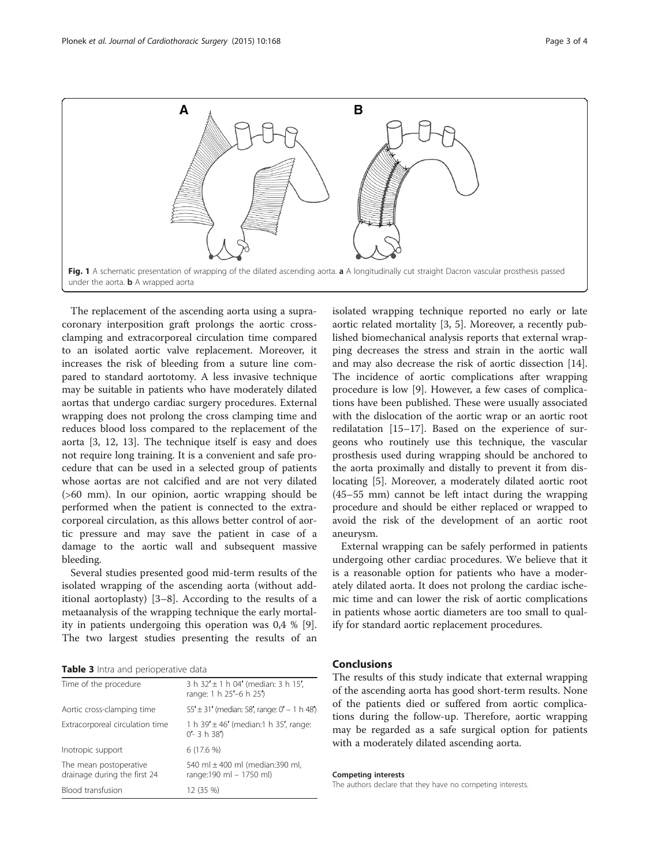<span id="page-2-0"></span>

The replacement of the ascending aorta using a supracoronary interposition graft prolongs the aortic crossclamping and extracorporeal circulation time compared to an isolated aortic valve replacement. Moreover, it increases the risk of bleeding from a suture line compared to standard aortotomy. A less invasive technique may be suitable in patients who have moderately dilated aortas that undergo cardiac surgery procedures. External wrapping does not prolong the cross clamping time and reduces blood loss compared to the replacement of the aorta [[3, 12](#page-3-0), [13](#page-3-0)]. The technique itself is easy and does not require long training. It is a convenient and safe procedure that can be used in a selected group of patients whose aortas are not calcified and are not very dilated (>60 mm). In our opinion, aortic wrapping should be performed when the patient is connected to the extracorporeal circulation, as this allows better control of aortic pressure and may save the patient in case of a damage to the aortic wall and subsequent massive bleeding.

Several studies presented good mid-term results of the isolated wrapping of the ascending aorta (without additional aortoplasty) [\[3](#page-3-0)–[8\]](#page-3-0). According to the results of a metaanalysis of the wrapping technique the early mortality in patients undergoing this operation was 0,4 % [\[9](#page-3-0)]. The two largest studies presenting the results of an

Table 3 Intra and perioperative data

| Time of the procedure                                  | 3 h $32' \pm 1$ h 04' (median: 3 h 15',<br>range: 1 h 25'-6 h 25') |
|--------------------------------------------------------|--------------------------------------------------------------------|
| Aortic cross-clamping time                             | $55' \pm 31'$ (median: 58', range: $0'$ – 1 h 48')                 |
| Extracorporeal circulation time                        | 1 h 39' $\pm$ 46' (median:1 h 35', range:<br>$0'$ - 3 h 38')       |
| Inotropic support                                      | $6(17.6\%)$                                                        |
| The mean postoperative<br>drainage during the first 24 | 540 ml $\pm$ 400 ml (median:390 ml,<br>range:190 ml - 1750 ml)     |
| Blood transfusion                                      | 12 (35 %)                                                          |

isolated wrapping technique reported no early or late aortic related mortality [[3](#page-3-0), [5\]](#page-3-0). Moreover, a recently published biomechanical analysis reports that external wrapping decreases the stress and strain in the aortic wall and may also decrease the risk of aortic dissection [\[14](#page-3-0)]. The incidence of aortic complications after wrapping procedure is low [[9\]](#page-3-0). However, a few cases of complications have been published. These were usually associated with the dislocation of the aortic wrap or an aortic root redilatation [[15](#page-3-0)–[17\]](#page-3-0). Based on the experience of surgeons who routinely use this technique, the vascular prosthesis used during wrapping should be anchored to the aorta proximally and distally to prevent it from dislocating [\[5](#page-3-0)]. Moreover, a moderately dilated aortic root (45–55 mm) cannot be left intact during the wrapping procedure and should be either replaced or wrapped to avoid the risk of the development of an aortic root aneurysm.

External wrapping can be safely performed in patients undergoing other cardiac procedures. We believe that it is a reasonable option for patients who have a moderately dilated aorta. It does not prolong the cardiac ischemic time and can lower the risk of aortic complications in patients whose aortic diameters are too small to qualify for standard aortic replacement procedures.

# Conclusions

The results of this study indicate that external wrapping of the ascending aorta has good short-term results. None of the patients died or suffered from aortic complications during the follow-up. Therefore, aortic wrapping may be regarded as a safe surgical option for patients with a moderately dilated ascending aorta.

Competing interests

The authors declare that they have no competing interests.